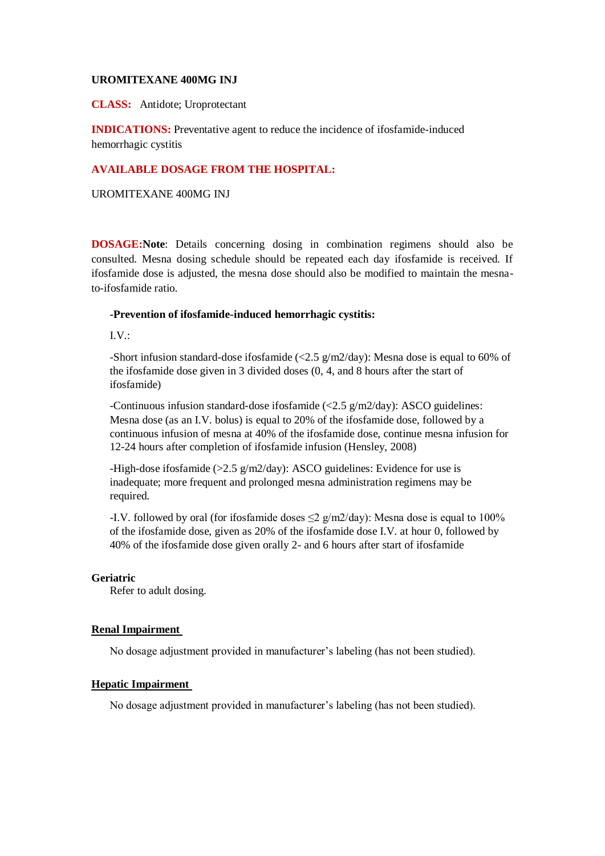### **UROMITEXANE 400MG INJ**

**CLASS:** Antidote; Uroprotectant

**INDICATIONS:** Preventative agent to reduce the incidence of ifosfamide-induced hemorrhagic cystitis

# **AVAILABLE DOSAGE FROM THE HOSPITAL:**

UROMITEXANE 400MG INJ

**DOSAGE:Note**: Details concerning dosing in combination regimens should also be consulted. Mesna dosing schedule should be repeated each day ifosfamide is received. If ifosfamide dose is adjusted, the mesna dose should also be modified to maintain the mesnato-ifosfamide ratio.

## **-Prevention of ifosfamide-induced hemorrhagic cystitis:**

 $I.V.:$ 

-Short infusion standard-dose ifosfamide ( $\langle 2.5 \text{ g/m}2/\text{day}\rangle$ : Mesna dose is equal to 60% of the ifosfamide dose given in 3 divided doses (0, 4, and 8 hours after the start of ifosfamide)

-Continuous infusion standard-dose ifosfamide (<2.5 g/m2/day): ASCO guidelines: Mesna dose (as an I.V. bolus) is equal to 20% of the ifosfamide dose, followed by a continuous infusion of mesna at 40% of the ifosfamide dose, continue mesna infusion for 12-24 hours after completion of ifosfamide infusion (Hensley, 2008)

-High-dose ifosfamide (>2.5 g/m2/day): ASCO guidelines: Evidence for use is inadequate; more frequent and prolonged mesna administration regimens may be required.

-I.V. followed by oral (for ifosfamide doses  $\leq$  2 g/m2/day): Mesna dose is equal to 100% of the ifosfamide dose, given as 20% of the ifosfamide dose I.V. at hour 0, followed by 40% of the ifosfamide dose given orally 2- and 6 hours after start of ifosfamide

### **Geriatric**

Refer to adult dosing.

### **Renal Impairment**

No dosage adjustment provided in manufacturer's labeling (has not been studied).

### **Hepatic Impairment**

No dosage adjustment provided in manufacturer's labeling (has not been studied).